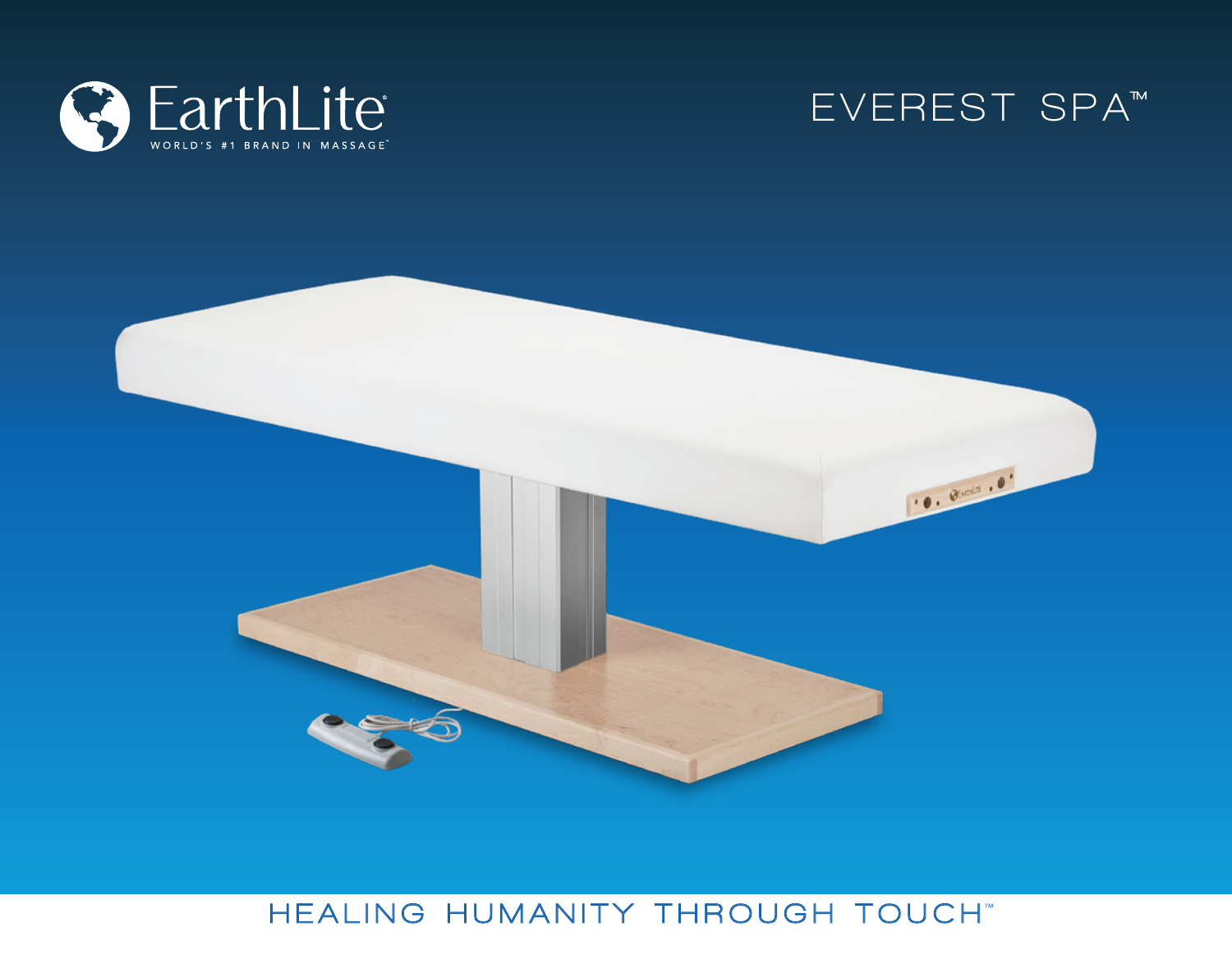

# **EVEREST SPA™**



# **H E ALI N G H UMANI T Y T H ROUG H TOU C H**